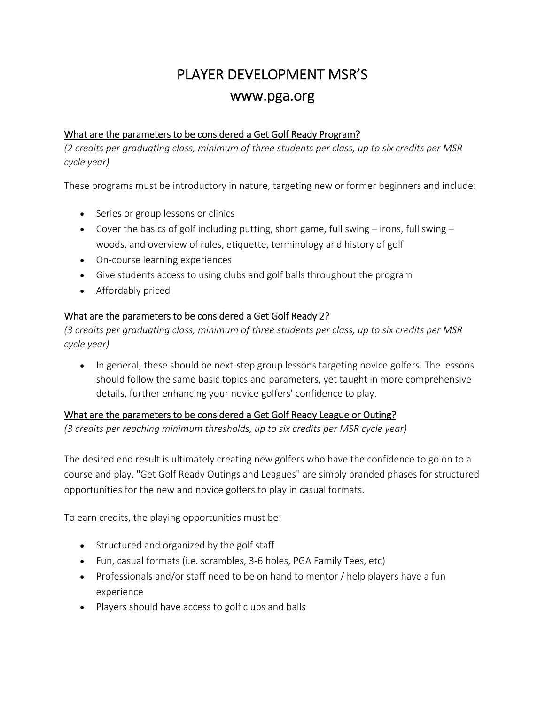# PLAYER DEVELOPMENT MSR'S www.pga.org

## What are the parameters to be considered a Get Golf Ready Program?

*(2 credits per graduating class, minimum of three students per class, up to six credits per MSR cycle year)*

These programs must be introductory in nature, targeting new or former beginners and include:

- Series or group lessons or clinics
- Cover the basics of golf including putting, short game, full swing  $-$  irons, full swing  $$ woods, and overview of rules, etiquette, terminology and history of golf
- On‐course learning experiences
- Give students access to using clubs and golf balls throughout the program
- Affordably priced

### What are the parameters to be considered a Get Golf Ready 2?

*(3 credits per graduating class, minimum of three students per class, up to six credits per MSR cycle year)*

• In general, these should be next-step group lessons targeting novice golfers. The lessons should follow the same basic topics and parameters, yet taught in more comprehensive details, further enhancing your novice golfers' confidence to play.

### What are the parameters to be considered a Get Golf Ready League or Outing?

*(3 credits per reaching minimum thresholds, up to six credits per MSR cycle year)* 

The desired end result is ultimately creating new golfers who have the confidence to go on to a course and play. "Get Golf Ready Outings and Leagues" are simply branded phases for structured opportunities for the new and novice golfers to play in casual formats.

To earn credits, the playing opportunities must be:

- Structured and organized by the golf staff
- Fun, casual formats (i.e. scrambles, 3‐6 holes, PGA Family Tees, etc)
- Professionals and/or staff need to be on hand to mentor / help players have a fun experience
- Players should have access to golf clubs and balls